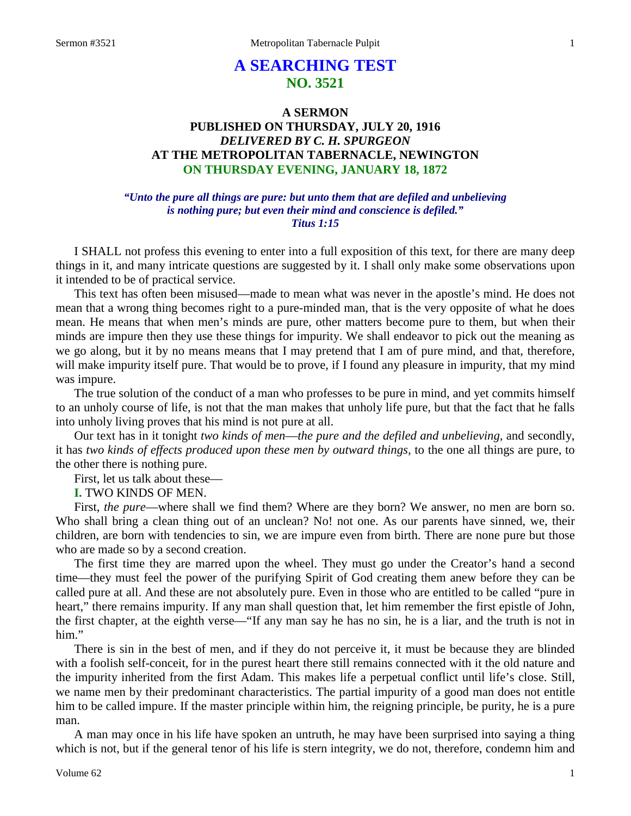# **A SEARCHING TEST NO. 3521**

# **A SERMON PUBLISHED ON THURSDAY, JULY 20, 1916** *DELIVERED BY C. H. SPURGEON* **AT THE METROPOLITAN TABERNACLE, NEWINGTON ON THURSDAY EVENING, JANUARY 18, 1872**

### *"Unto the pure all things are pure: but unto them that are defiled and unbelieving is nothing pure; but even their mind and conscience is defiled." Titus 1:15*

I SHALL not profess this evening to enter into a full exposition of this text, for there are many deep things in it, and many intricate questions are suggested by it. I shall only make some observations upon it intended to be of practical service.

This text has often been misused—made to mean what was never in the apostle's mind. He does not mean that a wrong thing becomes right to a pure-minded man, that is the very opposite of what he does mean. He means that when men's minds are pure, other matters become pure to them, but when their minds are impure then they use these things for impurity. We shall endeavor to pick out the meaning as we go along, but it by no means means that I may pretend that I am of pure mind, and that, therefore, will make impurity itself pure. That would be to prove, if I found any pleasure in impurity, that my mind was impure.

The true solution of the conduct of a man who professes to be pure in mind, and yet commits himself to an unholy course of life, is not that the man makes that unholy life pure, but that the fact that he falls into unholy living proves that his mind is not pure at all.

Our text has in it tonight *two kinds of men*—*the pure and the defiled and unbelieving,* and secondly, it has *two kinds of effects produced upon these men by outward things,* to the one all things are pure, to the other there is nothing pure.

First, let us talk about these—

**I.** TWO KINDS OF MEN.

First, *the pure*—where shall we find them? Where are they born? We answer, no men are born so. Who shall bring a clean thing out of an unclean? No! not one. As our parents have sinned, we, their children, are born with tendencies to sin, we are impure even from birth. There are none pure but those who are made so by a second creation.

The first time they are marred upon the wheel. They must go under the Creator's hand a second time—they must feel the power of the purifying Spirit of God creating them anew before they can be called pure at all. And these are not absolutely pure. Even in those who are entitled to be called "pure in heart," there remains impurity. If any man shall question that, let him remember the first epistle of John, the first chapter, at the eighth verse—"If any man say he has no sin, he is a liar, and the truth is not in him."

There is sin in the best of men, and if they do not perceive it, it must be because they are blinded with a foolish self-conceit, for in the purest heart there still remains connected with it the old nature and the impurity inherited from the first Adam. This makes life a perpetual conflict until life's close. Still, we name men by their predominant characteristics. The partial impurity of a good man does not entitle him to be called impure. If the master principle within him, the reigning principle, be purity, he is a pure man.

A man may once in his life have spoken an untruth, he may have been surprised into saying a thing which is not, but if the general tenor of his life is stern integrity, we do not, therefore, condemn him and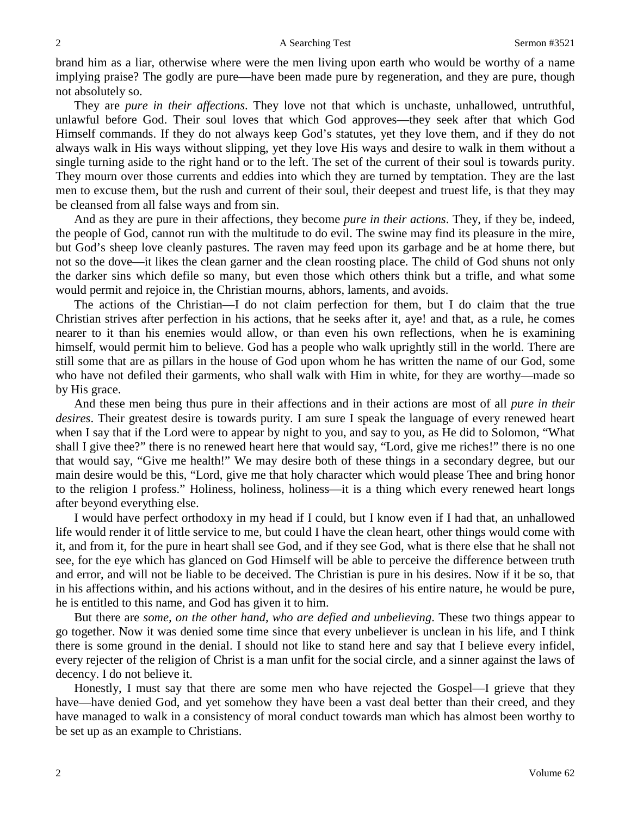brand him as a liar, otherwise where were the men living upon earth who would be worthy of a name implying praise? The godly are pure—have been made pure by regeneration, and they are pure, though not absolutely so.

They are *pure in their affections*. They love not that which is unchaste, unhallowed, untruthful, unlawful before God. Their soul loves that which God approves—they seek after that which God Himself commands. If they do not always keep God's statutes, yet they love them, and if they do not always walk in His ways without slipping, yet they love His ways and desire to walk in them without a single turning aside to the right hand or to the left. The set of the current of their soul is towards purity. They mourn over those currents and eddies into which they are turned by temptation. They are the last men to excuse them, but the rush and current of their soul, their deepest and truest life, is that they may be cleansed from all false ways and from sin.

And as they are pure in their affections, they become *pure in their actions*. They, if they be, indeed, the people of God, cannot run with the multitude to do evil. The swine may find its pleasure in the mire, but God's sheep love cleanly pastures. The raven may feed upon its garbage and be at home there, but not so the dove—it likes the clean garner and the clean roosting place. The child of God shuns not only the darker sins which defile so many, but even those which others think but a trifle, and what some would permit and rejoice in, the Christian mourns, abhors, laments, and avoids.

The actions of the Christian—I do not claim perfection for them, but I do claim that the true Christian strives after perfection in his actions, that he seeks after it, aye! and that, as a rule, he comes nearer to it than his enemies would allow, or than even his own reflections, when he is examining himself, would permit him to believe. God has a people who walk uprightly still in the world. There are still some that are as pillars in the house of God upon whom he has written the name of our God, some who have not defiled their garments, who shall walk with Him in white, for they are worthy—made so by His grace.

And these men being thus pure in their affections and in their actions are most of all *pure in their desires*. Their greatest desire is towards purity. I am sure I speak the language of every renewed heart when I say that if the Lord were to appear by night to you, and say to you, as He did to Solomon, "What shall I give thee?" there is no renewed heart here that would say, "Lord, give me riches!" there is no one that would say, "Give me health!" We may desire both of these things in a secondary degree, but our main desire would be this, "Lord, give me that holy character which would please Thee and bring honor to the religion I profess." Holiness, holiness, holiness—it is a thing which every renewed heart longs after beyond everything else.

I would have perfect orthodoxy in my head if I could, but I know even if I had that, an unhallowed life would render it of little service to me, but could I have the clean heart, other things would come with it, and from it, for the pure in heart shall see God, and if they see God, what is there else that he shall not see, for the eye which has glanced on God Himself will be able to perceive the difference between truth and error, and will not be liable to be deceived. The Christian is pure in his desires. Now if it be so, that in his affections within, and his actions without, and in the desires of his entire nature, he would be pure, he is entitled to this name, and God has given it to him.

But there are *some, on the other hand, who are defied and unbelieving*. These two things appear to go together. Now it was denied some time since that every unbeliever is unclean in his life, and I think there is some ground in the denial. I should not like to stand here and say that I believe every infidel, every rejecter of the religion of Christ is a man unfit for the social circle, and a sinner against the laws of decency. I do not believe it.

Honestly, I must say that there are some men who have rejected the Gospel—I grieve that they have—have denied God, and yet somehow they have been a vast deal better than their creed, and they have managed to walk in a consistency of moral conduct towards man which has almost been worthy to be set up as an example to Christians.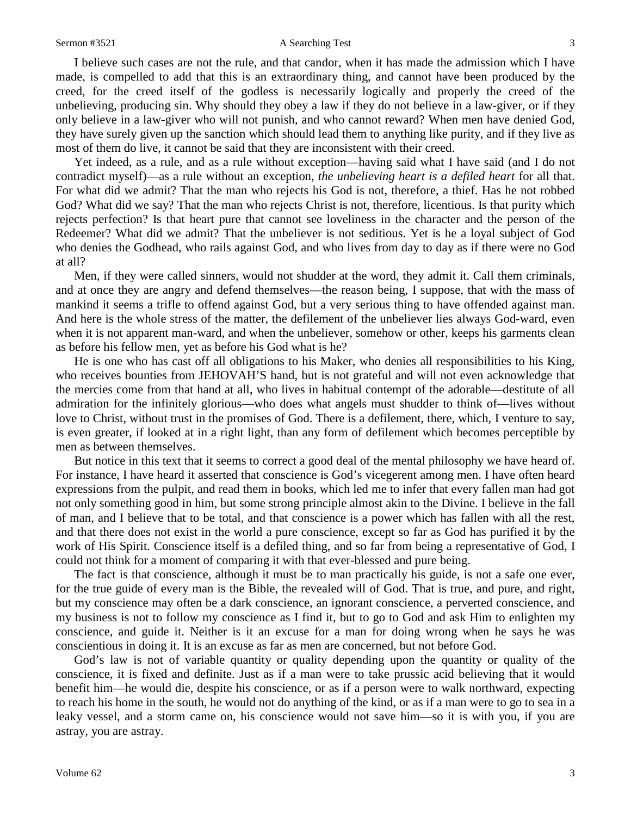I believe such cases are not the rule, and that candor, when it has made the admission which I have made, is compelled to add that this is an extraordinary thing, and cannot have been produced by the creed, for the creed itself of the godless is necessarily logically and properly the creed of the unbelieving, producing sin. Why should they obey a law if they do not believe in a law-giver, or if they only believe in a law-giver who will not punish, and who cannot reward? When men have denied God, they have surely given up the sanction which should lead them to anything like purity, and if they live as most of them do live, it cannot be said that they are inconsistent with their creed.

Yet indeed, as a rule, and as a rule without exception—having said what I have said (and I do not contradict myself)—as a rule without an exception, *the unbelieving heart is a defiled heart* for all that. For what did we admit? That the man who rejects his God is not, therefore, a thief. Has he not robbed God? What did we say? That the man who rejects Christ is not, therefore, licentious. Is that purity which rejects perfection? Is that heart pure that cannot see loveliness in the character and the person of the Redeemer? What did we admit? That the unbeliever is not seditious. Yet is he a loyal subject of God who denies the Godhead, who rails against God, and who lives from day to day as if there were no God at all?

Men, if they were called sinners, would not shudder at the word, they admit it. Call them criminals, and at once they are angry and defend themselves—the reason being, I suppose, that with the mass of mankind it seems a trifle to offend against God, but a very serious thing to have offended against man. And here is the whole stress of the matter, the defilement of the unbeliever lies always God-ward, even when it is not apparent man-ward, and when the unbeliever, somehow or other, keeps his garments clean as before his fellow men, yet as before his God what is he?

He is one who has cast off all obligations to his Maker, who denies all responsibilities to his King, who receives bounties from JEHOVAH'S hand, but is not grateful and will not even acknowledge that the mercies come from that hand at all, who lives in habitual contempt of the adorable—destitute of all admiration for the infinitely glorious—who does what angels must shudder to think of—lives without love to Christ, without trust in the promises of God. There is a defilement, there, which, I venture to say, is even greater, if looked at in a right light, than any form of defilement which becomes perceptible by men as between themselves.

But notice in this text that it seems to correct a good deal of the mental philosophy we have heard of. For instance, I have heard it asserted that conscience is God's vicegerent among men. I have often heard expressions from the pulpit, and read them in books, which led me to infer that every fallen man had got not only something good in him, but some strong principle almost akin to the Divine. I believe in the fall of man, and I believe that to be total, and that conscience is a power which has fallen with all the rest, and that there does not exist in the world a pure conscience, except so far as God has purified it by the work of His Spirit. Conscience itself is a defiled thing, and so far from being a representative of God, I could not think for a moment of comparing it with that ever-blessed and pure being.

The fact is that conscience, although it must be to man practically his guide, is not a safe one ever, for the true guide of every man is the Bible, the revealed will of God. That is true, and pure, and right, but my conscience may often be a dark conscience, an ignorant conscience, a perverted conscience, and my business is not to follow my conscience as I find it, but to go to God and ask Him to enlighten my conscience, and guide it. Neither is it an excuse for a man for doing wrong when he says he was conscientious in doing it. It is an excuse as far as men are concerned, but not before God.

God's law is not of variable quantity or quality depending upon the quantity or quality of the conscience, it is fixed and definite. Just as if a man were to take prussic acid believing that it would benefit him—he would die, despite his conscience, or as if a person were to walk northward, expecting to reach his home in the south, he would not do anything of the kind, or as if a man were to go to sea in a leaky vessel, and a storm came on, his conscience would not save him—so it is with you, if you are astray, you are astray.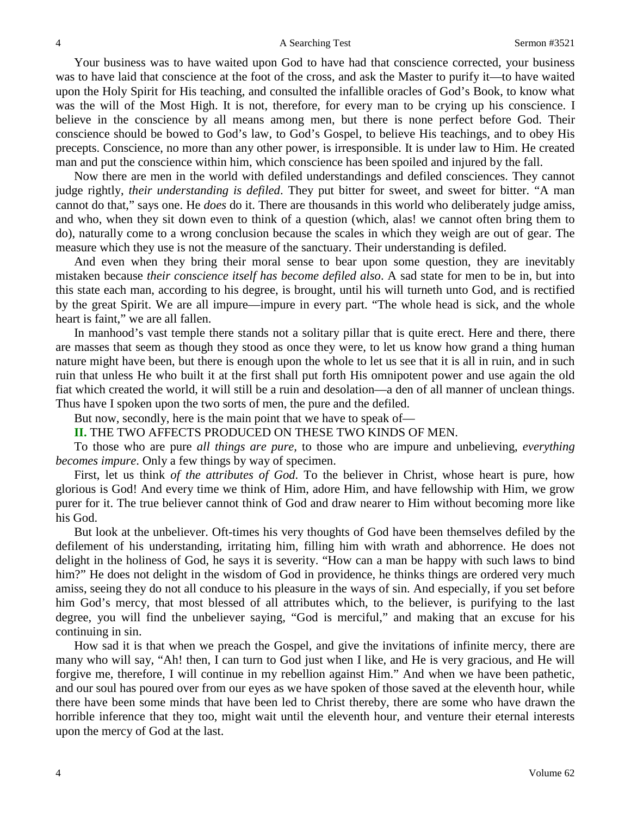Your business was to have waited upon God to have had that conscience corrected, your business was to have laid that conscience at the foot of the cross, and ask the Master to purify it—to have waited upon the Holy Spirit for His teaching, and consulted the infallible oracles of God's Book, to know what was the will of the Most High. It is not, therefore, for every man to be crying up his conscience. I believe in the conscience by all means among men, but there is none perfect before God. Their conscience should be bowed to God's law, to God's Gospel, to believe His teachings, and to obey His precepts. Conscience, no more than any other power, is irresponsible. It is under law to Him. He created man and put the conscience within him, which conscience has been spoiled and injured by the fall.

Now there are men in the world with defiled understandings and defiled consciences. They cannot judge rightly, *their understanding is defiled*. They put bitter for sweet, and sweet for bitter. "A man cannot do that," says one. He *does* do it. There are thousands in this world who deliberately judge amiss, and who, when they sit down even to think of a question (which, alas! we cannot often bring them to do), naturally come to a wrong conclusion because the scales in which they weigh are out of gear. The measure which they use is not the measure of the sanctuary. Their understanding is defiled.

And even when they bring their moral sense to bear upon some question, they are inevitably mistaken because *their conscience itself has become defiled also*. A sad state for men to be in, but into this state each man, according to his degree, is brought, until his will turneth unto God, and is rectified by the great Spirit. We are all impure—impure in every part. "The whole head is sick, and the whole heart is faint," we are all fallen.

In manhood's vast temple there stands not a solitary pillar that is quite erect. Here and there, there are masses that seem as though they stood as once they were, to let us know how grand a thing human nature might have been, but there is enough upon the whole to let us see that it is all in ruin, and in such ruin that unless He who built it at the first shall put forth His omnipotent power and use again the old fiat which created the world, it will still be a ruin and desolation—a den of all manner of unclean things. Thus have I spoken upon the two sorts of men, the pure and the defiled.

But now, secondly, here is the main point that we have to speak of—

**II.** THE TWO AFFECTS PRODUCED ON THESE TWO KINDS OF MEN.

To those who are pure *all things are pure,* to those who are impure and unbelieving, *everything becomes impure*. Only a few things by way of specimen.

First, let us think *of the attributes of God*. To the believer in Christ, whose heart is pure, how glorious is God! And every time we think of Him, adore Him, and have fellowship with Him, we grow purer for it. The true believer cannot think of God and draw nearer to Him without becoming more like his God.

But look at the unbeliever. Oft-times his very thoughts of God have been themselves defiled by the defilement of his understanding, irritating him, filling him with wrath and abhorrence. He does not delight in the holiness of God, he says it is severity. "How can a man be happy with such laws to bind him?" He does not delight in the wisdom of God in providence, he thinks things are ordered very much amiss, seeing they do not all conduce to his pleasure in the ways of sin. And especially, if you set before him God's mercy, that most blessed of all attributes which, to the believer, is purifying to the last degree, you will find the unbeliever saying, "God is merciful," and making that an excuse for his continuing in sin.

How sad it is that when we preach the Gospel, and give the invitations of infinite mercy, there are many who will say, "Ah! then, I can turn to God just when I like, and He is very gracious, and He will forgive me, therefore, I will continue in my rebellion against Him." And when we have been pathetic, and our soul has poured over from our eyes as we have spoken of those saved at the eleventh hour, while there have been some minds that have been led to Christ thereby, there are some who have drawn the horrible inference that they too, might wait until the eleventh hour, and venture their eternal interests upon the mercy of God at the last.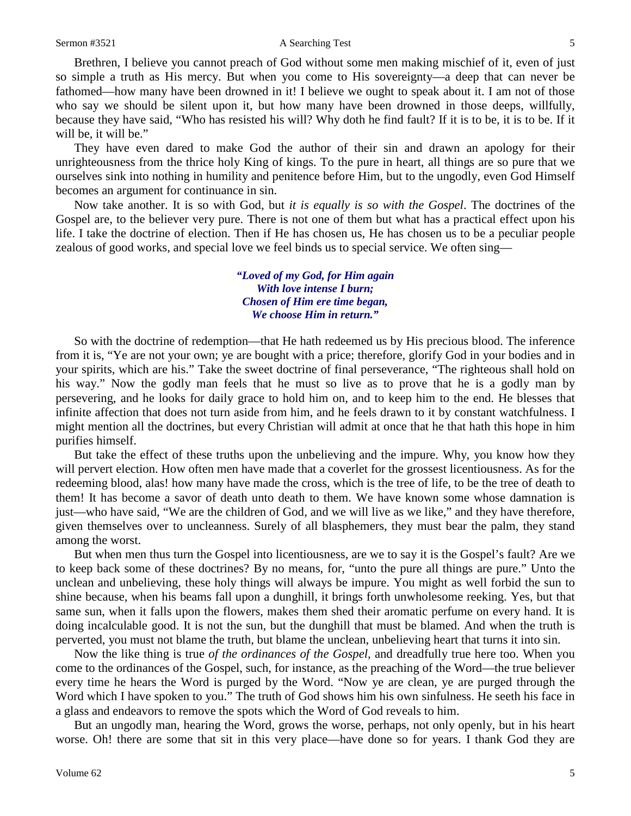#### Sermon #3521 **A Searching Test** 5

Brethren, I believe you cannot preach of God without some men making mischief of it, even of just so simple a truth as His mercy. But when you come to His sovereignty—a deep that can never be fathomed—how many have been drowned in it! I believe we ought to speak about it. I am not of those who say we should be silent upon it, but how many have been drowned in those deeps, willfully, because they have said, "Who has resisted his will? Why doth he find fault? If it is to be, it is to be. If it will be, it will be."

They have even dared to make God the author of their sin and drawn an apology for their unrighteousness from the thrice holy King of kings. To the pure in heart, all things are so pure that we ourselves sink into nothing in humility and penitence before Him, but to the ungodly, even God Himself becomes an argument for continuance in sin.

Now take another. It is so with God, but *it is equally is so with the Gospel*. The doctrines of the Gospel are, to the believer very pure. There is not one of them but what has a practical effect upon his life. I take the doctrine of election. Then if He has chosen us, He has chosen us to be a peculiar people zealous of good works, and special love we feel binds us to special service. We often sing—

## *"Loved of my God, for Him again With love intense I burn; Chosen of Him ere time began, We choose Him in return."*

So with the doctrine of redemption—that He hath redeemed us by His precious blood. The inference from it is, "Ye are not your own; ye are bought with a price; therefore, glorify God in your bodies and in your spirits, which are his." Take the sweet doctrine of final perseverance, "The righteous shall hold on his way." Now the godly man feels that he must so live as to prove that he is a godly man by persevering, and he looks for daily grace to hold him on, and to keep him to the end. He blesses that infinite affection that does not turn aside from him, and he feels drawn to it by constant watchfulness. I might mention all the doctrines, but every Christian will admit at once that he that hath this hope in him purifies himself.

But take the effect of these truths upon the unbelieving and the impure. Why, you know how they will pervert election. How often men have made that a coverlet for the grossest licentiousness. As for the redeeming blood, alas! how many have made the cross, which is the tree of life, to be the tree of death to them! It has become a savor of death unto death to them. We have known some whose damnation is just—who have said, "We are the children of God, and we will live as we like," and they have therefore, given themselves over to uncleanness. Surely of all blasphemers, they must bear the palm, they stand among the worst.

But when men thus turn the Gospel into licentiousness, are we to say it is the Gospel's fault? Are we to keep back some of these doctrines? By no means, for, "unto the pure all things are pure." Unto the unclean and unbelieving, these holy things will always be impure. You might as well forbid the sun to shine because, when his beams fall upon a dunghill, it brings forth unwholesome reeking. Yes, but that same sun, when it falls upon the flowers, makes them shed their aromatic perfume on every hand. It is doing incalculable good. It is not the sun, but the dunghill that must be blamed. And when the truth is perverted, you must not blame the truth, but blame the unclean, unbelieving heart that turns it into sin.

Now the like thing is true *of the ordinances of the Gospel,* and dreadfully true here too. When you come to the ordinances of the Gospel, such, for instance, as the preaching of the Word—the true believer every time he hears the Word is purged by the Word. "Now ye are clean, ye are purged through the Word which I have spoken to you." The truth of God shows him his own sinfulness. He seeth his face in a glass and endeavors to remove the spots which the Word of God reveals to him.

But an ungodly man, hearing the Word, grows the worse, perhaps, not only openly, but in his heart worse. Oh! there are some that sit in this very place—have done so for years. I thank God they are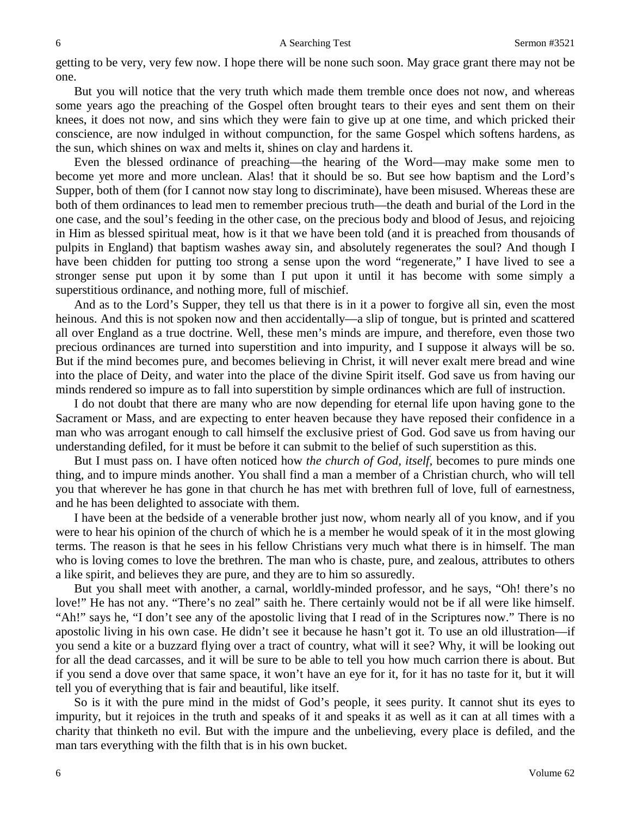#### 6 A Searching Test Sermon #3521

getting to be very, very few now. I hope there will be none such soon. May grace grant there may not be one.

But you will notice that the very truth which made them tremble once does not now, and whereas some years ago the preaching of the Gospel often brought tears to their eyes and sent them on their knees, it does not now, and sins which they were fain to give up at one time, and which pricked their conscience, are now indulged in without compunction, for the same Gospel which softens hardens, as the sun, which shines on wax and melts it, shines on clay and hardens it.

Even the blessed ordinance of preaching—the hearing of the Word—may make some men to become yet more and more unclean. Alas! that it should be so. But see how baptism and the Lord's Supper, both of them (for I cannot now stay long to discriminate), have been misused. Whereas these are both of them ordinances to lead men to remember precious truth—the death and burial of the Lord in the one case, and the soul's feeding in the other case, on the precious body and blood of Jesus, and rejoicing in Him as blessed spiritual meat, how is it that we have been told (and it is preached from thousands of pulpits in England) that baptism washes away sin, and absolutely regenerates the soul? And though I have been chidden for putting too strong a sense upon the word "regenerate," I have lived to see a stronger sense put upon it by some than I put upon it until it has become with some simply a superstitious ordinance, and nothing more, full of mischief.

And as to the Lord's Supper, they tell us that there is in it a power to forgive all sin, even the most heinous. And this is not spoken now and then accidentally—a slip of tongue, but is printed and scattered all over England as a true doctrine. Well, these men's minds are impure, and therefore, even those two precious ordinances are turned into superstition and into impurity, and I suppose it always will be so. But if the mind becomes pure, and becomes believing in Christ, it will never exalt mere bread and wine into the place of Deity, and water into the place of the divine Spirit itself. God save us from having our minds rendered so impure as to fall into superstition by simple ordinances which are full of instruction.

I do not doubt that there are many who are now depending for eternal life upon having gone to the Sacrament or Mass, and are expecting to enter heaven because they have reposed their confidence in a man who was arrogant enough to call himself the exclusive priest of God. God save us from having our understanding defiled, for it must be before it can submit to the belief of such superstition as this.

But I must pass on. I have often noticed how *the church of God, itself,* becomes to pure minds one thing, and to impure minds another. You shall find a man a member of a Christian church, who will tell you that wherever he has gone in that church he has met with brethren full of love, full of earnestness, and he has been delighted to associate with them.

I have been at the bedside of a venerable brother just now, whom nearly all of you know, and if you were to hear his opinion of the church of which he is a member he would speak of it in the most glowing terms. The reason is that he sees in his fellow Christians very much what there is in himself. The man who is loving comes to love the brethren. The man who is chaste, pure, and zealous, attributes to others a like spirit, and believes they are pure, and they are to him so assuredly.

But you shall meet with another, a carnal, worldly-minded professor, and he says, "Oh! there's no love!" He has not any. "There's no zeal" saith he. There certainly would not be if all were like himself. "Ah!" says he, "I don't see any of the apostolic living that I read of in the Scriptures now." There is no apostolic living in his own case. He didn't see it because he hasn't got it. To use an old illustration—if you send a kite or a buzzard flying over a tract of country, what will it see? Why, it will be looking out for all the dead carcasses, and it will be sure to be able to tell you how much carrion there is about. But if you send a dove over that same space, it won't have an eye for it, for it has no taste for it, but it will tell you of everything that is fair and beautiful, like itself.

So is it with the pure mind in the midst of God's people, it sees purity. It cannot shut its eyes to impurity, but it rejoices in the truth and speaks of it and speaks it as well as it can at all times with a charity that thinketh no evil. But with the impure and the unbelieving, every place is defiled, and the man tars everything with the filth that is in his own bucket.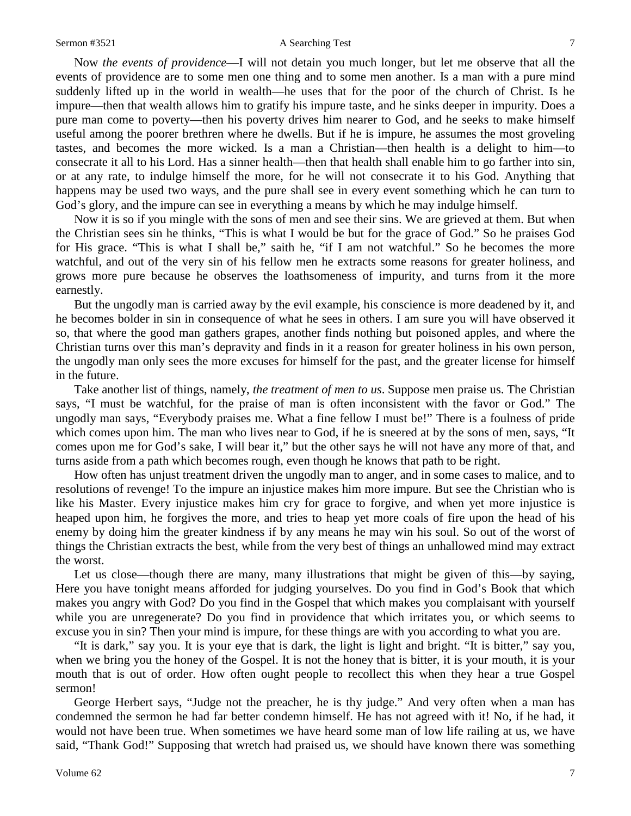#### Sermon #3521 **A Searching Test** 7

Now *the events of providence*—I will not detain you much longer, but let me observe that all the events of providence are to some men one thing and to some men another. Is a man with a pure mind suddenly lifted up in the world in wealth—he uses that for the poor of the church of Christ. Is he impure—then that wealth allows him to gratify his impure taste, and he sinks deeper in impurity. Does a pure man come to poverty—then his poverty drives him nearer to God, and he seeks to make himself useful among the poorer brethren where he dwells. But if he is impure, he assumes the most groveling tastes, and becomes the more wicked. Is a man a Christian—then health is a delight to him—to consecrate it all to his Lord. Has a sinner health—then that health shall enable him to go farther into sin, or at any rate, to indulge himself the more, for he will not consecrate it to his God. Anything that happens may be used two ways, and the pure shall see in every event something which he can turn to God's glory, and the impure can see in everything a means by which he may indulge himself.

Now it is so if you mingle with the sons of men and see their sins. We are grieved at them. But when the Christian sees sin he thinks, "This is what I would be but for the grace of God." So he praises God for His grace. "This is what I shall be," saith he, "if I am not watchful." So he becomes the more watchful, and out of the very sin of his fellow men he extracts some reasons for greater holiness, and grows more pure because he observes the loathsomeness of impurity, and turns from it the more earnestly.

But the ungodly man is carried away by the evil example, his conscience is more deadened by it, and he becomes bolder in sin in consequence of what he sees in others. I am sure you will have observed it so, that where the good man gathers grapes, another finds nothing but poisoned apples, and where the Christian turns over this man's depravity and finds in it a reason for greater holiness in his own person, the ungodly man only sees the more excuses for himself for the past, and the greater license for himself in the future.

Take another list of things, namely, *the treatment of men to us*. Suppose men praise us. The Christian says, "I must be watchful, for the praise of man is often inconsistent with the favor or God." The ungodly man says, "Everybody praises me. What a fine fellow I must be!" There is a foulness of pride which comes upon him. The man who lives near to God, if he is sneered at by the sons of men, says, "It comes upon me for God's sake, I will bear it," but the other says he will not have any more of that, and turns aside from a path which becomes rough, even though he knows that path to be right.

How often has unjust treatment driven the ungodly man to anger, and in some cases to malice, and to resolutions of revenge! To the impure an injustice makes him more impure. But see the Christian who is like his Master. Every injustice makes him cry for grace to forgive, and when yet more injustice is heaped upon him, he forgives the more, and tries to heap yet more coals of fire upon the head of his enemy by doing him the greater kindness if by any means he may win his soul. So out of the worst of things the Christian extracts the best, while from the very best of things an unhallowed mind may extract the worst.

Let us close—though there are many, many illustrations that might be given of this—by saying, Here you have tonight means afforded for judging yourselves. Do you find in God's Book that which makes you angry with God? Do you find in the Gospel that which makes you complaisant with yourself while you are unregenerate? Do you find in providence that which irritates you, or which seems to excuse you in sin? Then your mind is impure, for these things are with you according to what you are.

"It is dark," say you. It is your eye that is dark, the light is light and bright. "It is bitter," say you, when we bring you the honey of the Gospel. It is not the honey that is bitter, it is your mouth, it is your mouth that is out of order. How often ought people to recollect this when they hear a true Gospel sermon!

George Herbert says, "Judge not the preacher, he is thy judge." And very often when a man has condemned the sermon he had far better condemn himself. He has not agreed with it! No, if he had, it would not have been true. When sometimes we have heard some man of low life railing at us, we have said, "Thank God!" Supposing that wretch had praised us, we should have known there was something